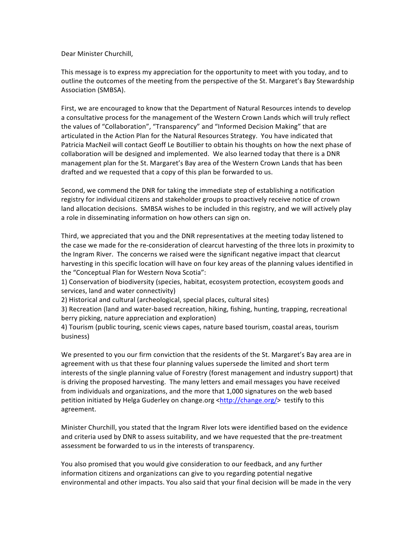Dear Minister Churchill.

This message is to express my appreciation for the opportunity to meet with you today, and to outline the outcomes of the meeting from the perspective of the St. Margaret's Bay Stewardship Association (SMBSA).

First, we are encouraged to know that the Department of Natural Resources intends to develop a consultative process for the management of the Western Crown Lands which will truly reflect the values of "Collaboration", "Transparency" and "Informed Decision Making" that are articulated in the Action Plan for the Natural Resources Strategy. You have indicated that Patricia MacNeil will contact Geoff Le Boutillier to obtain his thoughts on how the next phase of collaboration will be designed and implemented. We also learned today that there is a DNR management plan for the St. Margaret's Bay area of the Western Crown Lands that has been drafted and we requested that a copy of this plan be forwarded to us.

Second, we commend the DNR for taking the immediate step of establishing a notification registry for individual citizens and stakeholder groups to proactively receive notice of crown land allocation decisions. SMBSA wishes to be included in this registry, and we will actively play a role in disseminating information on how others can sign on.

Third, we appreciated that you and the DNR representatives at the meeting today listened to the case we made for the re-consideration of clearcut harvesting of the three lots in proximity to the Ingram River. The concerns we raised were the significant negative impact that clearcut harvesting in this specific location will have on four key areas of the planning values identified in the "Conceptual Plan for Western Nova Scotia":

1) Conservation of biodiversity (species, habitat, ecosystem protection, ecosystem goods and services, land and water connectivity)

2) Historical and cultural (archeological, special places, cultural sites)

3) Recreation (land and water-based recreation, hiking, fishing, hunting, trapping, recreational berry picking, nature appreciation and exploration)

4) Tourism (public touring, scenic views capes, nature based tourism, coastal areas, tourism business)

We presented to you our firm conviction that the residents of the St. Margaret's Bay area are in agreement with us that these four planning values supersede the limited and short term interests of the single planning value of Forestry (forest management and industry support) that is driving the proposed harvesting. The many letters and email messages you have received from individuals and organizations, and the more that 1,000 signatures on the web based petition initiated by Helga Guderley on change.org <http://change.org/> testify to this agreement.

Minister Churchill, you stated that the Ingram River lots were identified based on the evidence and criteria used by DNR to assess suitability, and we have requested that the pre-treatment assessment be forwarded to us in the interests of transparency.

You also promised that you would give consideration to our feedback, and any further information citizens and organizations can give to you regarding potential negative environmental and other impacts. You also said that your final decision will be made in the very